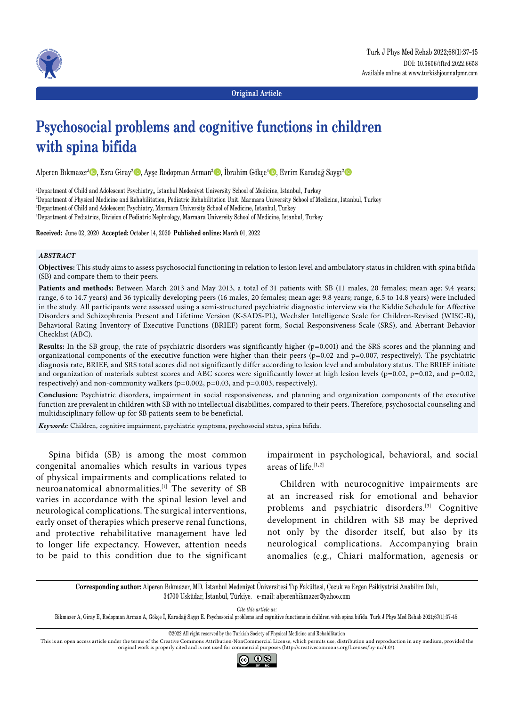



**Original Article**

# **Psychosocial problems and cognitive functions in children with spina bifida**

Alperen Bıkmazer<sup>ı</sup> D, Esra Giray<sup>2</sup> D, Ayşe Rodopman Arman<sup>3</sup> D, İbrahim Gökçe<sup>4</sup> D, Evrim Karadağ Saygı<sup>2</sup> D

 Department of Child and Adolescent Psychiatry,, Istanbul Medeniyet University School of Medicine, Istanbul, Turkey Department of Physical Medicine and Rehabilitation, Pediatric Rehabilitation Unit, Marmara University School of Medicine, Istanbul, Turkey Department of Child and Adolescent Psychiatry, Marmara University School of Medicine, Istanbul, Turkey Department of Pediatrics, Division of Pediatric Nephrology, Marmara University School of Medicine, Istanbul, Turkey

**Received:** June 02, 2020 **Accepted:** October 14, 2020 **Published online:** March 01, 2022

## *ABSTRACT*

**Objectives:** This study aims to assess psychosocial functioning in relation to lesion level and ambulatory status in children with spina bifida (SB) and compare them to their peers.

**Patients and methods:** Between March 2013 and May 2013, a total of 31 patients with SB (11 males, 20 females; mean age: 9.4 years; range, 6 to 14.7 years) and 36 typically developing peers (16 males, 20 females; mean age: 9.8 years; range, 6.5 to 14.8 years) were included in the study. All participants were assessed using a semi-structured psychiatric diagnostic interview via the Kiddie Schedule for Affective Disorders and Schizophrenia Present and Lifetime Version (K-SADS-PL), Wechsler Intelligence Scale for Children-Revised (WISC-R), Behavioral Rating Inventory of Executive Functions (BRIEF) parent form, Social Responsiveness Scale (SRS), and Aberrant Behavior Checklist (ABC).

**Results:** In the SB group, the rate of psychiatric disorders was significantly higher (p=0.001) and the SRS scores and the planning and organizational components of the executive function were higher than their peers ( $p=0.02$  and  $p=0.007$ , respectively). The psychiatric diagnosis rate, BRIEF, and SRS total scores did not significantly differ according to lesion level and ambulatory status. The BRIEF initiate and organization of materials subtest scores and ABC scores were significantly lower at high lesion levels ( $p=0.02$ ,  $p=0.02$ , and  $p=0.02$ , respectively) and non-community walkers (p=0.002, p=0.03, and p=0.003, respectively).

**Conclusion:** Psychiatric disorders, impairment in social responsiveness, and planning and organization components of the executive function are prevalent in children with SB with no intellectual disabilities, compared to their peers. Therefore, psychosocial counseling and multidisciplinary follow-up for SB patients seem to be beneficial.

*Keywords:* Children, cognitive impairment, psychiatric symptoms, psychosocial status, spina bifida.

Spina bifida (SB) is among the most common congenital anomalies which results in various types of physical impairments and complications related to neuroanatomical abnormalities.[1] The severity of SB varies in accordance with the spinal lesion level and neurological complications. The surgical interventions, early onset of therapies which preserve renal functions, and protective rehabilitative management have led to longer life expectancy. However, attention needs to be paid to this condition due to the significant impairment in psychological, behavioral, and social areas of life $[1,2]$ 

Children with neurocognitive impairments are at an increased risk for emotional and behavior problems and psychiatric disorders.[3] Cognitive development in children with SB may be deprived not only by the disorder itself, but also by its neurological complications. Accompanying brain anomalies (e.g., Chiari malformation, agenesis or

**Corresponding author:** Alperen Bıkmazer, MD. İstanbul Medeniyet Üniversitesi Tıp Fakültesi, Çocuk ve Ergen Psikiyatrisi Anabilim Dalı, 34700 Üsküdar, İstanbul, Türkiye. e-mail: alperenbikmazer@yahoo.com

*Cite this article as:*

Bikmazer A, Giray E, Rodopman Arman A, Gökçe İ, Karadağ Saygı E. Psychosocial problems and cognitive functions in children with spina bifida. Turk J Phys Med Rehab 2021;67(1):37-45.

This is an open access article under the terms of the Creative Commons Attribution-NonCommercial License, which permits use, distribution and reproduction in any medium, provided the original work is properly cited and is not used for commercial purposes (http://creativecommons.org/licenses/by-nc/4.0/).



<sup>©2022</sup> All right reserved by the Turkish Society of Physical Medicine and Rehabilitation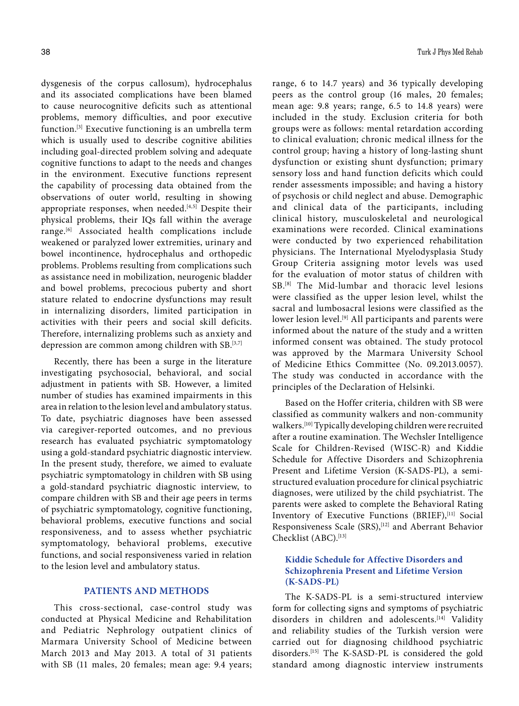dysgenesis of the corpus callosum), hydrocephalus and its associated complications have been blamed to cause neurocognitive deficits such as attentional problems, memory difficulties, and poor executive function.[3] Executive functioning is an umbrella term which is usually used to describe cognitive abilities including goal-directed problem solving and adequate cognitive functions to adapt to the needs and changes in the environment. Executive functions represent the capability of processing data obtained from the observations of outer world, resulting in showing appropriate responses, when needed. $[4,5]$  Despite their physical problems, their IQs fall within the average range.[6] Associated health complications include weakened or paralyzed lower extremities, urinary and bowel incontinence, hydrocephalus and orthopedic problems. Problems resulting from complications such as assistance need in mobilization, neurogenic bladder and bowel problems, precocious puberty and short stature related to endocrine dysfunctions may result in internalizing disorders, limited participation in activities with their peers and social skill deficits. Therefore, internalizing problems such as anxiety and depression are common among children with SB.<sup>[3,7]</sup>

Recently, there has been a surge in the literature investigating psychosocial, behavioral, and social adjustment in patients with SB. However, a limited number of studies has examined impairments in this area in relation to the lesion level and ambulatory status. To date, psychiatric diagnoses have been assessed via caregiver-reported outcomes, and no previous research has evaluated psychiatric symptomatology using a gold-standard psychiatric diagnostic interview. In the present study, therefore, we aimed to evaluate psychiatric symptomatology in children with SB using a gold-standard psychiatric diagnostic interview, to compare children with SB and their age peers in terms of psychiatric symptomatology, cognitive functioning, behavioral problems, executive functions and social responsiveness, and to assess whether psychiatric symptomatology, behavioral problems, executive functions, and social responsiveness varied in relation to the lesion level and ambulatory status.

## **PATIENTS AND METHODS**

This cross-sectional, case-control study was conducted at Physical Medicine and Rehabilitation and Pediatric Nephrology outpatient clinics of Marmara University School of Medicine between March 2013 and May 2013. A total of 31 patients with SB (11 males, 20 females; mean age: 9.4 years;

range, 6 to 14.7 years) and 36 typically developing peers as the control group (16 males, 20 females; mean age: 9.8 years; range, 6.5 to 14.8 years) were included in the study. Exclusion criteria for both groups were as follows: mental retardation according to clinical evaluation; chronic medical illness for the control group; having a history of long-lasting shunt dysfunction or existing shunt dysfunction; primary sensory loss and hand function deficits which could render assessments impossible; and having a history of psychosis or child neglect and abuse. Demographic and clinical data of the participants, including clinical history, musculoskeletal and neurological examinations were recorded. Clinical examinations were conducted by two experienced rehabilitation physicians. The International Myelodysplasia Study Group Criteria assigning motor levels was used for the evaluation of motor status of children with SB.[8] The Mid-lumbar and thoracic level lesions were classified as the upper lesion level, whilst the sacral and lumbosacral lesions were classified as the lower lesion level.<sup>[9]</sup> All participants and parents were informed about the nature of the study and a written informed consent was obtained. The study protocol was approved by the Marmara University School of Medicine Ethics Committee (No. 09.2013.0057). The study was conducted in accordance with the principles of the Declaration of Helsinki.

Based on the Hoffer criteria, children with SB were classified as community walkers and non-community walkers.[10] Typically developing children were recruited after a routine examination. The Wechsler Intelligence Scale for Children-Revised (WISC-R) and Kiddie Schedule for Affective Disorders and Schizophrenia Present and Lifetime Version (K-SADS-PL), a semistructured evaluation procedure for clinical psychiatric diagnoses, were utilized by the child psychiatrist. The parents were asked to complete the Behavioral Rating Inventory of Executive Functions (BRIEF),<sup>[11]</sup> Social Responsiveness Scale (SRS),<sup>[12]</sup> and Aberrant Behavior Checklist (ABC).<sup>[13]</sup>

# **Kiddie Schedule for Affective Disorders and Schizophrenia Present and Lifetime Version (K-SADS-PL)**

The K-SADS-PL is a semi-structured interview form for collecting signs and symptoms of psychiatric disorders in children and adolescents.<sup>[14]</sup> Validity and reliability studies of the Turkish version were carried out for diagnosing childhood psychiatric disorders.[15] The K-SASD-PL is considered the gold standard among diagnostic interview instruments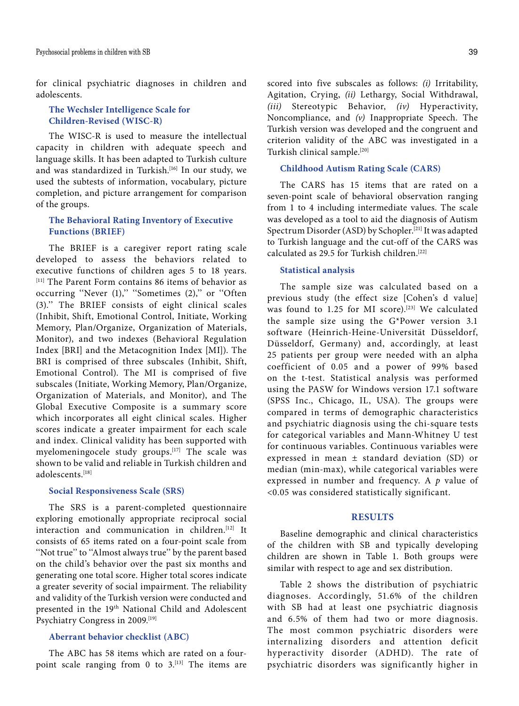for clinical psychiatric diagnoses in children and adolescents.

# **The Wechsler Intelligence Scale for Children-Revised (WISC-R)**

The WISC-R is used to measure the intellectual capacity in children with adequate speech and language skills. It has been adapted to Turkish culture and was standardized in Turkish.<sup>[16]</sup> In our study, we used the subtests of information, vocabulary, picture completion, and picture arrangement for comparison of the groups.

# **The Behavioral Rating Inventory of Executive Functions (BRIEF)**

The BRIEF is a caregiver report rating scale developed to assess the behaviors related to executive functions of children ages 5 to 18 years. [11] The Parent Form contains 86 items of behavior as occurring "Never (1)," "Sometimes (2)," or "Often (3).'' The BRIEF consists of eight clinical scales (Inhibit, Shift, Emotional Control, Initiate, Working Memory, Plan/Organize, Organization of Materials, Monitor), and two indexes (Behavioral Regulation Index [BRI] and the Metacognition Index [MI]). The BRI is comprised of three subscales (Inhibit, Shift, Emotional Control). The MI is comprised of five subscales (Initiate, Working Memory, Plan/Organize, Organization of Materials, and Monitor), and The Global Executive Composite is a summary score which incorporates all eight clinical scales. Higher scores indicate a greater impairment for each scale and index. Clinical validity has been supported with myelomeningocele study groups.<sup>[17]</sup> The scale was shown to be valid and reliable in Turkish children and adolescents<sup>[18]</sup>

#### **Social Responsiveness Scale (SRS)**

The SRS is a parent-completed questionnaire exploring emotionally appropriate reciprocal social interaction and communication in children.[12] It consists of 65 items rated on a four-point scale from ''Not true'' to ''Almost always true'' by the parent based on the child's behavior over the past six months and generating one total score. Higher total scores indicate a greater severity of social impairment. The reliability and validity of the Turkish version were conducted and presented in the 19<sup>th</sup> National Child and Adolescent Psychiatry Congress in 2009.<sup>[19]</sup>

# **Aberrant behavior checklist (ABC)**

The ABC has 58 items which are rated on a fourpoint scale ranging from 0 to  $3$ .<sup>[13]</sup> The items are scored into five subscales as follows: *(i)* Irritability, Agitation, Crying, *(ii)* Lethargy, Social Withdrawal, *(iii)* Stereotypic Behavior, *(iv)* Hyperactivity, Noncompliance, and *(v)* Inappropriate Speech. The Turkish version was developed and the congruent and criterion validity of the ABC was investigated in a Turkish clinical sample.[20]

## **Childhood Autism Rating Scale (CARS)**

The CARS has 15 items that are rated on a seven-point scale of behavioral observation ranging from 1 to 4 including intermediate values. The scale was developed as a tool to aid the diagnosis of Autism Spectrum Disorder (ASD) by Schopler.[21] It was adapted to Turkish language and the cut-off of the CARS was calculated as 29.5 for Turkish children.[22]

#### **Statistical analysis**

The sample size was calculated based on a previous study (the effect size [Cohen's d value] was found to 1.25 for MI score).<sup>[23]</sup> We calculated the sample size using the G\*Power version 3.1 software (Heinrich-Heine-Universität Düsseldorf, Düsseldorf, Germany) and, accordingly, at least 25 patients per group were needed with an alpha coefficient of 0.05 and a power of 99% based on the t-test. Statistical analysis was performed using the PASW for Windows version 17.1 software (SPSS Inc., Chicago, IL, USA). The groups were compared in terms of demographic characteristics and psychiatric diagnosis using the chi-square tests for categorical variables and Mann-Whitney U test for continuous variables. Continuous variables were expressed in mean ± standard deviation (SD) or median (min-max), while categorical variables were expressed in number and frequency. A *p* value of <0.05 was considered statistically significant.

## **RESULTS**

Baseline demographic and clinical characteristics of the children with SB and typically developing children are shown in Table 1. Both groups were similar with respect to age and sex distribution.

Table 2 shows the distribution of psychiatric diagnoses. Accordingly, 51.6% of the children with SB had at least one psychiatric diagnosis and 6.5% of them had two or more diagnosis. The most common psychiatric disorders were internalizing disorders and attention deficit hyperactivity disorder (ADHD). The rate of psychiatric disorders was significantly higher in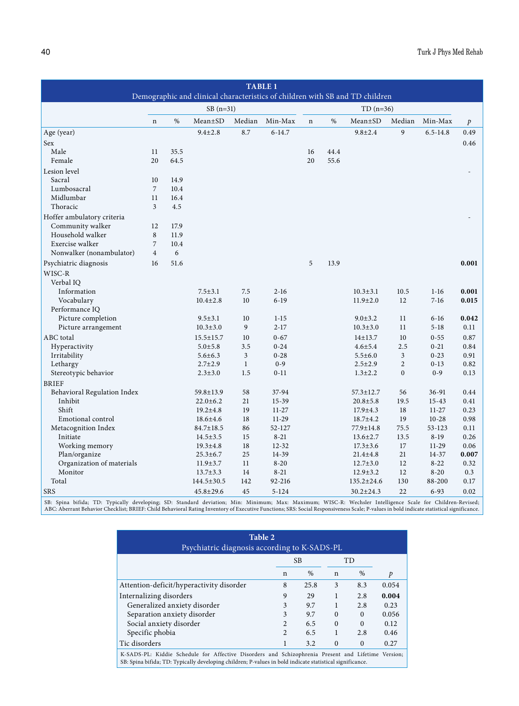| <b>TABLE 1</b>                                                               |                |      |                  |              |            |             |      |                  |                |              |               |
|------------------------------------------------------------------------------|----------------|------|------------------|--------------|------------|-------------|------|------------------|----------------|--------------|---------------|
| Demographic and clinical characteristics of children with SB and TD children |                |      |                  |              |            |             |      |                  |                |              |               |
|                                                                              |                |      | $SB(n=31)$       |              |            |             |      | $TD(n=36)$       |                |              |               |
|                                                                              | $\mathbf n$    | $\%$ | Mean±SD          | Median       | Min-Max    | $\mathbf n$ | $\%$ | $Mean \pm SD$    | Median         | Min-Max      | $\mathcal{P}$ |
| Age (year)                                                                   |                |      | $9.4 \pm 2.8$    | 8.7          | $6 - 14.7$ |             |      | $9.8 \pm 2.4$    | 9              | $6.5 - 14.8$ | 0.49          |
| Sex                                                                          |                |      |                  |              |            |             |      |                  |                |              | 0.46          |
| Male                                                                         | 11             | 35.5 |                  |              |            | 16          | 44.4 |                  |                |              |               |
| Female                                                                       | 20             | 64.5 |                  |              |            | 20          | 55.6 |                  |                |              |               |
| Lesion level                                                                 |                |      |                  |              |            |             |      |                  |                |              |               |
| Sacral                                                                       | 10             | 14.9 |                  |              |            |             |      |                  |                |              |               |
| Lumbosacral                                                                  | $\overline{7}$ | 10.4 |                  |              |            |             |      |                  |                |              |               |
| Midlumbar                                                                    | 11             | 16.4 |                  |              |            |             |      |                  |                |              |               |
| Thoracic                                                                     | 3              | 4.5  |                  |              |            |             |      |                  |                |              |               |
| Hoffer ambulatory criteria                                                   |                |      |                  |              |            |             |      |                  |                |              |               |
| Community walker                                                             | 12             | 17.9 |                  |              |            |             |      |                  |                |              |               |
| Household walker                                                             | 8              | 11.9 |                  |              |            |             |      |                  |                |              |               |
| Exercise walker                                                              | $\overline{7}$ | 10.4 |                  |              |            |             |      |                  |                |              |               |
| Nonwalker (nonambulator)                                                     | $\overline{4}$ | 6    |                  |              |            |             |      |                  |                |              |               |
| Psychiatric diagnosis                                                        | 16             | 51.6 |                  |              |            | 5           | 13.9 |                  |                |              | 0.001         |
| WISC-R                                                                       |                |      |                  |              |            |             |      |                  |                |              |               |
| Verbal IO                                                                    |                |      |                  |              |            |             |      |                  |                |              |               |
| Information                                                                  |                |      | $7.5 \pm 3.1$    | 7.5          | $2-16$     |             |      | $10.3 \pm 3.1$   | 10.5           | $1-16$       | 0.001         |
| Vocabulary                                                                   |                |      | $10.4 \pm 2.8$   | 10           | $6-19$     |             |      | $11.9 \pm 2.0$   | 12             | $7 - 16$     | 0.015         |
| Performance IQ                                                               |                |      |                  |              |            |             |      |                  |                |              |               |
| Picture completion                                                           |                |      | $9.5 \pm 3.1$    | 10           | $1 - 15$   |             |      | $9.0 \pm 3.2$    | 11             | $6-16$       | 0.042         |
| Picture arrangement                                                          |                |      | $10.3 \pm 3.0$   | 9            | $2 - 17$   |             |      | $10.3 \pm 3.0$   | 11             | $5 - 18$     | 0.11          |
| ABC total                                                                    |                |      | $15.5 \pm 15.7$  | 10           | $0 - 67$   |             |      | $14 + 13.7$      | 10             | $0 - 55$     | 0.87          |
| Hyperactivity                                                                |                |      | $5.0 \pm 5.8$    | 3.5          | $0 - 24$   |             |      | $4.6 \pm 5.4$    | 2.5            | $0 - 21$     | 0.84          |
| Irritability                                                                 |                |      | $5.6 \pm 6.3$    | 3            | $0 - 28$   |             |      | $5.5 \pm 6.0$    | 3              | $0 - 23$     | 0.91          |
| Lethargy                                                                     |                |      | $2.7 \pm 2.9$    | $\mathbf{1}$ | $0 - 9$    |             |      | $2.5 \pm 2.9$    | $\overline{2}$ | $0-13$       | 0.82          |
| Stereotypic behavior                                                         |                |      | $2.3 \pm 3.0$    | 1.5          | $0 - 11$   |             |      | $1.3 \pm 2.2$    | $\overline{0}$ | $0 - 9$      | 0.13          |
| <b>BRIEF</b>                                                                 |                |      |                  |              |            |             |      |                  |                |              |               |
| Behavioral Regulation Index                                                  |                |      | 59.8±13.9        | 58           | 37-94      |             |      | $57.3 \pm 12.7$  | 56             | 36-91        | 0.44          |
| Inhibit                                                                      |                |      | $22.0 \pm 6.2$   | 21           | 15-39      |             |      | $20.8 + 5.8$     | 19.5           | $15 - 43$    | 0.41          |
| Shift                                                                        |                |      | $19.2 \pm 4.8$   | 19           | $11-27$    |             |      | $17.9 \pm 4.3$   | 18             | $11 - 27$    | 0.23          |
| Emotional control                                                            |                |      | $18.6{\pm}4.6$   | 18           | 11-29      |             |      | $18.7 \pm 4.2$   | 19             | $10 - 28$    | 0.98          |
| Metacognition Index                                                          |                |      | 84.7±18.5        | 86           | 52-127     |             |      | 77.9±14.8        | 75.5           | 53-123       | 0.11          |
| Initiate                                                                     |                |      | $14.5 \pm 3.5$   | 15           | $8 - 21$   |             |      | $13.6 \pm 2.7$   | 13.5           | $8-19$       | 0.26          |
| Working memory                                                               |                |      | $19.3 \pm 4.8$   | 18           | $12 - 32$  |             |      | $17.3 \pm 3.6$   | 17             | $11-29$      | 0.06          |
| Plan/organize                                                                |                |      | $25.3 \pm 6.7$   | 25           | 14-39      |             |      | $21.4 \pm 4.8$   | 21             | $14 - 37$    | 0.007         |
| Organization of materials                                                    |                |      | $11.9 \pm 3.7$   | 11           | $8 - 20$   |             |      | $12.7 \pm 3.0$   | 12             | $8 - 22$     | 0.32          |
| Monitor                                                                      |                |      | $13.7 \pm 3.3$   | 14           | $8 - 21$   |             |      | $12.9 \pm 3.2$   | 12             | $8 - 20$     | 0.3           |
| Total                                                                        |                |      | $144.5 \pm 30.5$ | 142          | 92-216     |             |      | $135.2 \pm 24.6$ | 130            | 88-200       | 0.17          |
| <b>SRS</b>                                                                   |                |      | $45.8 \pm 29.6$  | 45           | $5 - 124$  |             |      | $30.2 \pm 24.3$  | 22             | $6 - 93$     | 0.02          |
|                                                                              |                |      |                  |              |            |             |      |                  |                |              |               |

SB: Spina bifida; TD: Typically developing; SD: Standard deviation; Min: Minimum; Max: Maximum; WISC-R: Wechsler Intelligence Scale for Children-Revised;<br>ABC:AberrantBehaviorChecklist;BRIEF:ChildBehavioralRatingInventoryof

| Table 2<br>Psychiatric diagnosis according to K-SADS-PL                                                                                                                                                        |                |           |             |           |       |  |  |  |  |
|----------------------------------------------------------------------------------------------------------------------------------------------------------------------------------------------------------------|----------------|-----------|-------------|-----------|-------|--|--|--|--|
|                                                                                                                                                                                                                |                | <b>SB</b> |             | <b>TD</b> |       |  |  |  |  |
|                                                                                                                                                                                                                | $\mathbf n$    | %         | $\mathbf n$ | $\%$      | Þ     |  |  |  |  |
| Attention-deficit/hyperactivity disorder                                                                                                                                                                       | 8              | 25.8      | 3           | 8.3       | 0.054 |  |  |  |  |
| Internalizing disorders                                                                                                                                                                                        | 9              | 29        |             | 2.8       | 0.004 |  |  |  |  |
| Generalized anxiety disorder                                                                                                                                                                                   | 3              | 9.7       | 1           | 2.8       | 0.23  |  |  |  |  |
| Separation anxiety disorder                                                                                                                                                                                    | 3              | 9.7       | $\theta$    | $\Omega$  | 0.056 |  |  |  |  |
| Social anxiety disorder                                                                                                                                                                                        | $\mathfrak{D}$ | 6.5       | $\Omega$    | $\Omega$  | 0.12  |  |  |  |  |
| Specific phobia                                                                                                                                                                                                | $\mathfrak{D}$ | 6.5       | 1           | 2.8       | 0.46  |  |  |  |  |
| Tic disorders                                                                                                                                                                                                  |                | 3.2       | $\theta$    | $\Omega$  | 0.27  |  |  |  |  |
| K-SADS-PL: Kiddie Schedule for Affective Disorders and Schizophrenia Present and Lifetime Version;<br>SB: Spina bifida; TD: Typically developing children; P-values in bold indicate statistical significance. |                |           |             |           |       |  |  |  |  |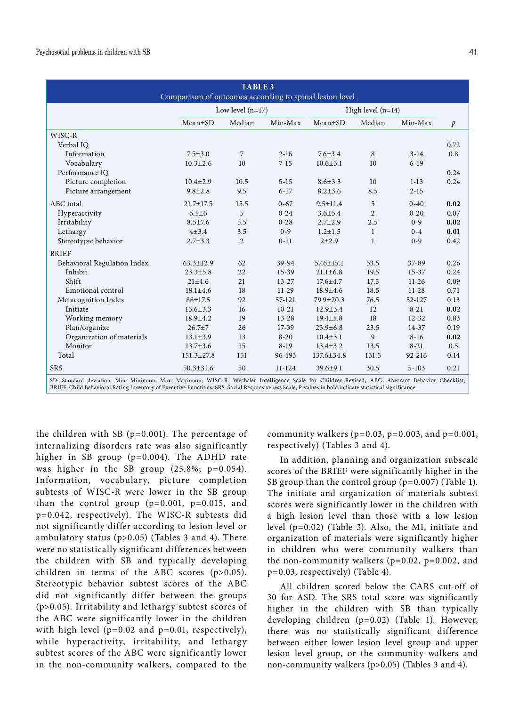| <b>TABLE 3</b><br>Comparison of outcomes according to spinal lesion level                                                                                                                                                                                                                                 |                  |                    |           |                     |                |           |               |  |  |
|-----------------------------------------------------------------------------------------------------------------------------------------------------------------------------------------------------------------------------------------------------------------------------------------------------------|------------------|--------------------|-----------|---------------------|----------------|-----------|---------------|--|--|
|                                                                                                                                                                                                                                                                                                           |                  | Low level $(n=17)$ |           | High level $(n=14)$ |                |           |               |  |  |
|                                                                                                                                                                                                                                                                                                           | $Mean \pm SD$    | Median             | Min-Max   | $Mean \pm SD$       | Median         | Min-Max   | $\mathcal{P}$ |  |  |
| WISC-R                                                                                                                                                                                                                                                                                                    |                  |                    |           |                     |                |           |               |  |  |
| Verbal IO                                                                                                                                                                                                                                                                                                 |                  |                    |           |                     |                |           | 0.72          |  |  |
| Information                                                                                                                                                                                                                                                                                               | $7.5 \pm 3.0$    | 7                  | $2 - 16$  | $7.6 \pm 3.4$       | 8              | $3 - 14$  | 0.8           |  |  |
| Vocabulary                                                                                                                                                                                                                                                                                                | $10.3 \pm 2.6$   | 10                 | $7 - 15$  | $10.6 \pm 3.1$      | 10             | $6-19$    |               |  |  |
| Performance IQ                                                                                                                                                                                                                                                                                            |                  |                    |           |                     |                |           | 0.24          |  |  |
| Picture completion                                                                                                                                                                                                                                                                                        | $10.4 \pm 2.9$   | 10.5               | $5-15$    | $8.6 \pm 3.3$       | 10             | $1-13$    | 0.24          |  |  |
| Picture arrangement                                                                                                                                                                                                                                                                                       | $9.8 \pm 2.8$    | 9.5                | $6 - 17$  | $8.2 \pm 3.6$       | 8.5            | $2 - 15$  |               |  |  |
| ABC total                                                                                                                                                                                                                                                                                                 | $21.7 \pm 17.5$  | 15.5               | $0 - 67$  | $9.5 \pm 11.4$      | 5              | $0 - 40$  | 0.02          |  |  |
| Hyperactivity                                                                                                                                                                                                                                                                                             | $6.5 \pm 6$      | 5                  | $0 - 24$  | $3.6 \pm 5.4$       | $\overline{2}$ | $0 - 20$  | 0.07          |  |  |
| Irritability                                                                                                                                                                                                                                                                                              | $8.5 \pm 7.6$    | 5.5                | $0 - 28$  | $2.7 \pm 2.9$       | 2.5            | $0 - 9$   | 0.02          |  |  |
| Lethargy                                                                                                                                                                                                                                                                                                  | $4 + 3.4$        | 3.5                | $0 - 9$   | $1.2 \pm 1.5$       | 1              | $0 - 4$   | 0.01          |  |  |
| Stereotypic behavior                                                                                                                                                                                                                                                                                      | $2.7 \pm 3.3$    | $\overline{2}$     | $0 - 11$  | $2 + 2.9$           | $\mathbf{1}$   | $0 - 9$   | 0.42          |  |  |
| <b>BRIEF</b>                                                                                                                                                                                                                                                                                              |                  |                    |           |                     |                |           |               |  |  |
| Behavioral Regulation Index                                                                                                                                                                                                                                                                               | $63.3 \pm 12.9$  | 62                 | 39-94     | $57.6 \pm 15.1$     | 53.5           | 37-89     | 0.26          |  |  |
| Inhibit                                                                                                                                                                                                                                                                                                   | $23.3 \pm 5.8$   | 22                 | $15-39$   | $21.1 \pm 6.8$      | 19.5           | $15 - 37$ | 0.24          |  |  |
| Shift                                                                                                                                                                                                                                                                                                     | $21 \pm 4.6$     | 21                 | $13 - 27$ | $17.6 \pm 4.7$      | 17.5           | $11-26$   | 0.09          |  |  |
| Emotional control                                                                                                                                                                                                                                                                                         | $19.1 \pm 4.6$   | 18                 | $11-29$   | $18.9 \pm 4.6$      | 18.5           | $11-28$   | 0.71          |  |  |
| Metacognition Index                                                                                                                                                                                                                                                                                       | $88 + 17.5$      | 92                 | 57-121    | 79.9±20.3           | 76.5           | 52-127    | 0.13          |  |  |
| Initiate                                                                                                                                                                                                                                                                                                  | $15.6 \pm 3.3$   | 16                 | $10 - 21$ | $12.9 \pm 3.4$      | 12             | $8 - 21$  | 0.02          |  |  |
| Working memory                                                                                                                                                                                                                                                                                            | 18.9±4.2         | 19                 | $13 - 28$ | $19.4 \pm 5.8$      | 18             | $12 - 32$ | 0.83          |  |  |
| Plan/organize                                                                                                                                                                                                                                                                                             | $26.7 + 7$       | 26                 | $17-39$   | $23.9 \pm 6.8$      | 23.5           | $14 - 37$ | 0.19          |  |  |
| Organization of materials                                                                                                                                                                                                                                                                                 | $13.1 \pm 3.9$   | 13                 | $8 - 20$  | $10.4 \pm 3.1$      | 9              | $8 - 16$  | 0.02          |  |  |
| Monitor                                                                                                                                                                                                                                                                                                   | $13.7 \pm 3.6$   | 15                 | $8-19$    | $13.4 \pm 3.2$      | 13.5           | $8-21$    | 0.5           |  |  |
| Total                                                                                                                                                                                                                                                                                                     | $151.3 \pm 27.8$ | 151                | 96-193    | 137.6±34.8          | 131.5          | 92-216    | 0.14          |  |  |
| <b>SRS</b>                                                                                                                                                                                                                                                                                                | $50.3 \pm 31.6$  | 50                 | 11-124    | $39.6 \pm 9.1$      | 30.5           | $5 - 103$ | 0.21          |  |  |
| SD: Standard deviation; Min: Minimum; Max: Maximum; WISC-R: Wechsler Intelligence Scale for Children-Revised; ABC: Aberrant Behavior Checklist;<br>BRIEF: Child Behavioral Rating Inventory of Executive Functions: SRS: Social Responsiveness Scale: P-values in bold indicate statistical significance. |                  |                    |           |                     |                |           |               |  |  |

the children with SB ( $p=0.001$ ). The percentage of internalizing disorders rate was also significantly higher in SB group (p=0.004). The ADHD rate was higher in the SB group (25.8%; p=0.054). Information, vocabulary, picture completion subtests of WISC-R were lower in the SB group than the control group  $(p=0.001, p=0.015, and$ p=0.042, respectively). The WISC-R subtests did not significantly differ according to lesion level or ambulatory status (p>0.05) (Tables 3 and 4). There were no statistically significant differences between the children with SB and typically developing children in terms of the ABC scores (p>0.05). Stereotypic behavior subtest scores of the ABC did not significantly differ between the groups (p>0.05). Irritability and lethargy subtest scores of the ABC were significantly lower in the children with high level  $(p=0.02$  and  $p=0.01$ , respectively), while hyperactivity, irritability, and lethargy subtest scores of the ABC were significantly lower in the non-community walkers, compared to the

community walkers ( $p=0.03$ ,  $p=0.003$ , and  $p=0.001$ , respectively) (Tables 3 and 4).

In addition, planning and organization subscale scores of the BRIEF were significantly higher in the SB group than the control group (p=0.007) (Table 1). The initiate and organization of materials subtest scores were significantly lower in the children with a high lesion level than those with a low lesion level (p=0.02) (Table 3). Also, the MI, initiate and organization of materials were significantly higher in children who were community walkers than the non-community walkers ( $p=0.02$ ,  $p=0.002$ , and p=0.03, respectively) (Table 4).

All children scored below the CARS cut-off of 30 for ASD. The SRS total score was significantly higher in the children with SB than typically developing children (p=0.02) (Table 1). However, there was no statistically significant difference between either lower lesion level group and upper lesion level group, or the community walkers and non-community walkers (p>0.05) (Tables 3 and 4).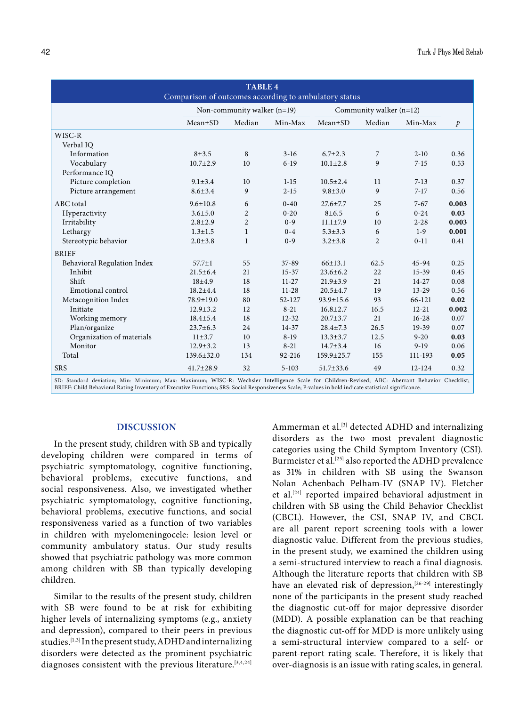| <b>TABLE 4</b><br>Comparison of outcomes according to ambulatory status                                                                         |                               |                         |            |                 |                |            |               |  |  |
|-------------------------------------------------------------------------------------------------------------------------------------------------|-------------------------------|-------------------------|------------|-----------------|----------------|------------|---------------|--|--|
|                                                                                                                                                 | Non-community walker $(n=19)$ | Community walker (n=12) |            |                 |                |            |               |  |  |
|                                                                                                                                                 | $Mean \pm SD$                 | Median                  | Min-Max    | $Mean \pm SD$   | Median         | Min-Max    | $\mathcal{P}$ |  |  |
| WISC-R                                                                                                                                          |                               |                         |            |                 |                |            |               |  |  |
| Verbal IO                                                                                                                                       |                               |                         |            |                 |                |            |               |  |  |
| Information                                                                                                                                     | $8 + 3.5$                     | 8                       | $3-16$     | $6.7 \pm 2.3$   | 7              | $2 - 10$   | 0.36          |  |  |
| Vocabulary                                                                                                                                      | $10.7 \pm 2.9$                | 10                      | $6-19$     | $10.1 \pm 2.8$  | 9              | $7 - 15$   | 0.53          |  |  |
| Performance IQ                                                                                                                                  |                               |                         |            |                 |                |            |               |  |  |
| Picture completion                                                                                                                              | $9.1 \pm 3.4$                 | 10                      | $1-15$     | $10.5 \pm 2.4$  | 11             | $7-13$     | 0.37          |  |  |
| Picture arrangement                                                                                                                             | $8.6 \pm 3.4$                 | 9                       | $2 - 15$   | $9.8 \pm 3.0$   | 9              | $7-17$     | 0.56          |  |  |
| ABC total                                                                                                                                       | $9.6 \pm 10.8$                | 6                       | $0 - 40$   | $27.6 \pm 7.7$  | 25             | $7 - 67$   | 0.003         |  |  |
| Hyperactivity                                                                                                                                   | $3.6 \pm 5.0$                 | 2                       | $0 - 20$   | 8±6.5           | 6              | $0 - 24$   | 0.03          |  |  |
| Irritability                                                                                                                                    | $2.8 \pm 2.9$                 | $\overline{2}$          | $0 - 9$    | $11.1 \pm 7.9$  | 10             | $2 - 28$   | 0.003         |  |  |
| Lethargy                                                                                                                                        | $1.3 \pm 1.5$                 | 1                       | $0 - 4$    | $5.3 \pm 3.3$   | 6              | $1-9$      | 0.001         |  |  |
| Stereotypic behavior                                                                                                                            | $2.0 \pm 3.8$                 | 1                       | $0 - 9$    | $3.2 \pm 3.8$   | $\overline{2}$ | $0 - 11$   | 0.41          |  |  |
| <b>BRIEF</b>                                                                                                                                    |                               |                         |            |                 |                |            |               |  |  |
| Behavioral Regulation Index                                                                                                                     | $57.7 \pm 1$                  | 55                      | 37-89      | 66±13.1         | 62.5           | 45-94      | 0.25          |  |  |
| Inhibit                                                                                                                                         | $21.5 \pm 6.4$                | 21                      | $15 - 37$  | $23.6 \pm 6.2$  | 22             | $15-39$    | 0.45          |  |  |
| Shift                                                                                                                                           | $18 + 4.9$                    | 18                      | $11-27$    | $21.9 \pm 3.9$  | 21             | $14 - 27$  | 0.08          |  |  |
| Emotional control                                                                                                                               | $18.2 \pm 4.4$                | 18                      | $11-28$    | $20.5 + 4.7$    | 19             | $13 - 29$  | 0.56          |  |  |
| Metacognition Index                                                                                                                             | 78.9±19.0                     | 80                      | $52 - 127$ | 93.9±15.6       | 93             | 66-121     | 0.02          |  |  |
| Initiate                                                                                                                                        | $12.9 \pm 3.2$                | 12                      | $8 - 21$   | $16.8 \pm 2.7$  | 16.5           | $12 - 21$  | 0.002         |  |  |
| Working memory                                                                                                                                  | $18.4 \pm 5.4$                | 18                      | $12 - 32$  | $20.7 \pm 3.7$  | 21             | $16 - 28$  | 0.07          |  |  |
| Plan/organize                                                                                                                                   | $23.7 \pm 6.3$                | 24                      | $14 - 37$  | $28.4 \pm 7.3$  | 26.5           | 19-39      | 0.07          |  |  |
| Organization of materials                                                                                                                       | $11\pm3.7$                    | 10                      | $8-19$     | $13.3 \pm 3.7$  | 12.5           | $9 - 20$   | 0.03          |  |  |
| Monitor                                                                                                                                         | $12.9 \pm 3.2$                | 13                      | $8 - 21$   | $14.7 \pm 3.4$  | 16             | $9-19$     | 0.06          |  |  |
| Total                                                                                                                                           | $139.6 \pm 32.0$              | 134                     | 92-216     | 159.9±25.7      | 155            | 111-193    | 0.05          |  |  |
| <b>SRS</b>                                                                                                                                      | $41.7 \pm 28.9$               | 32                      | $5 - 103$  | $51.7 \pm 33.6$ | 49             | $12 - 124$ | 0.32          |  |  |
| SD: Standard deviation: Min: Minimum: Max: Maximum: WISC-R: Wechsler Intelligence Scale for Children-Revised: ARC: Aberrant Rehavior Checklist: |                               |                         |            |                 |                |            |               |  |  |

SD: Standard deviation; Min: Minimum; Max: Maximum; WISC-R: Wechsler Intelligence Scale for Children-Revised; ABC: Aberrant Behavior Checklist;<br>BRIEF:ChildBehavioralRatingInventoryofExecutiveFunctions;SRS:SocialResponsiven

## **DISCUSSION**

In the present study, children with SB and typically developing children were compared in terms of psychiatric symptomatology, cognitive functioning, behavioral problems, executive functions, and social responsiveness. Also, we investigated whether psychiatric symptomatology, cognitive functioning, behavioral problems, executive functions, and social responsiveness varied as a function of two variables in children with myelomeningocele: lesion level or community ambulatory status. Our study results showed that psychiatric pathology was more common among children with SB than typically developing children.

Similar to the results of the present study, children with SB were found to be at risk for exhibiting higher levels of internalizing symptoms (e.g., anxiety and depression), compared to their peers in previous studies.[1,3] In the present study, ADHD and internalizing disorders were detected as the prominent psychiatric diagnoses consistent with the previous literature.<sup>[3,4,24]</sup> Ammerman et al.<sup>[3]</sup> detected ADHD and internalizing disorders as the two most prevalent diagnostic categories using the Child Symptom Inventory (CSI). Burmeister et al.<sup>[25]</sup> also reported the ADHD prevalence as 31% in children with SB using the Swanson Nolan Achenbach Pelham-IV (SNAP IV). Fletcher et al.[24] reported impaired behavioral adjustment in children with SB using the Child Behavior Checklist (CBCL). However, the CSI, SNAP IV, and CBCL are all parent report screening tools with a lower diagnostic value. Different from the previous studies, in the present study, we examined the children using a semi-structured interview to reach a final diagnosis. Although the literature reports that children with SB have an elevated risk of depression,<sup>[26-29]</sup> interestingly none of the participants in the present study reached the diagnostic cut-off for major depressive disorder (MDD). A possible explanation can be that reaching the diagnostic cut-off for MDD is more unlikely using a semi-structural interview compared to a self- or parent-report rating scale. Therefore, it is likely that over-diagnosis is an issue with rating scales, in general.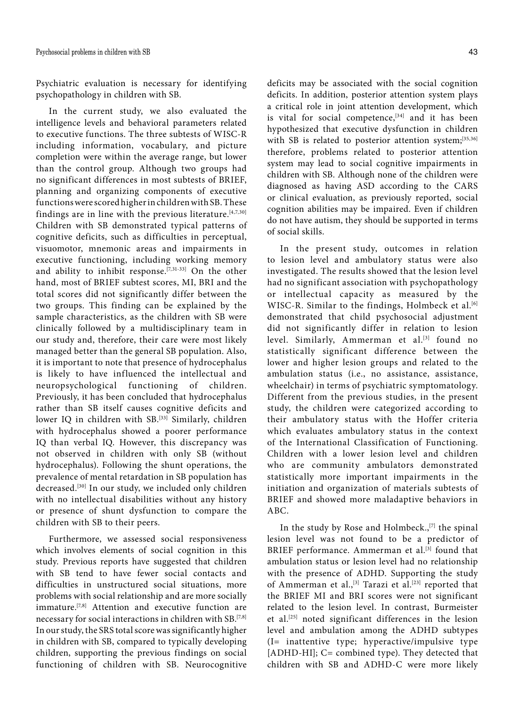Psychiatric evaluation is necessary for identifying psychopathology in children with SB.

In the current study, we also evaluated the intelligence levels and behavioral parameters related to executive functions. The three subtests of WISC-R including information, vocabulary, and picture completion were within the average range, but lower than the control group. Although two groups had no significant differences in most subtests of BRIEF, planning and organizing components of executive functions were scored higher in children with SB. These findings are in line with the previous literature.<sup>[4,7,30]</sup> Children with SB demonstrated typical patterns of cognitive deficits, such as difficulties in perceptual, visuomotor, mnemonic areas and impairments in executive functioning, including working memory and ability to inhibit response.<sup>[7,31-33]</sup> On the other hand, most of BRIEF subtest scores, MI, BRI and the total scores did not significantly differ between the two groups. This finding can be explained by the sample characteristics, as the children with SB were clinically followed by a multidisciplinary team in our study and, therefore, their care were most likely managed better than the general SB population. Also, it is important to note that presence of hydrocephalus is likely to have influenced the intellectual and neuropsychological functioning of children. Previously, it has been concluded that hydrocephalus rather than SB itself causes cognitive deficits and lower IQ in children with SB.<sup>[33]</sup> Similarly, children with hydrocephalus showed a poorer performance IQ than verbal IQ. However, this discrepancy was not observed in children with only SB (without hydrocephalus). Following the shunt operations, the prevalence of mental retardation in SB population has decreased.<sup>[30]</sup> In our study, we included only children with no intellectual disabilities without any history or presence of shunt dysfunction to compare the children with SB to their peers.

Furthermore, we assessed social responsiveness which involves elements of social cognition in this study. Previous reports have suggested that children with SB tend to have fewer social contacts and difficulties in unstructured social situations, more problems with social relationship and are more socially immature.<sup>[7,8]</sup> Attention and executive function are necessary for social interactions in children with SB.[7,8] In our study, the SRS total score was significantly higher in children with SB, compared to typically developing children, supporting the previous findings on social functioning of children with SB. Neurocognitive deficits may be associated with the social cognition deficits. In addition, posterior attention system plays a critical role in joint attention development, which is vital for social competence,  $[34]$  and it has been hypothesized that executive dysfunction in children with SB is related to posterior attention system;<sup>[35,36]</sup> therefore, problems related to posterior attention system may lead to social cognitive impairments in children with SB. Although none of the children were diagnosed as having ASD according to the CARS or clinical evaluation, as previously reported, social cognition abilities may be impaired. Even if children do not have autism, they should be supported in terms of social skills.

In the present study, outcomes in relation to lesion level and ambulatory status were also investigated. The results showed that the lesion level had no significant association with psychopathology or intellectual capacity as measured by the WISC-R. Similar to the findings, Holmbeck et al.<sup>[6]</sup> demonstrated that child psychosocial adjustment did not significantly differ in relation to lesion level. Similarly, Ammerman et al.<sup>[3]</sup> found no statistically significant difference between the lower and higher lesion groups and related to the ambulation status (i.e., no assistance, assistance, wheelchair) in terms of psychiatric symptomatology. Different from the previous studies, in the present study, the children were categorized according to their ambulatory status with the Hoffer criteria which evaluates ambulatory status in the context of the International Classification of Functioning. Children with a lower lesion level and children who are community ambulators demonstrated statistically more important impairments in the initiation and organization of materials subtests of BRIEF and showed more maladaptive behaviors in ABC.

In the study by Rose and Holmbeck.,<sup>[7]</sup> the spinal lesion level was not found to be a predictor of BRIEF performance. Ammerman et al.<sup>[3]</sup> found that ambulation status or lesion level had no relationship with the presence of ADHD. Supporting the study of Ammerman et al.,<sup>[3]</sup> Tarazi et al.<sup>[23]</sup> reported that the BRIEF MI and BRI scores were not significant related to the lesion level. In contrast, Burmeister et al.[25] noted significant differences in the lesion level and ambulation among the ADHD subtypes (I= inattentive type; hyperactive/impulsive type [ADHD-HI]; C= combined type). They detected that children with SB and ADHD-C were more likely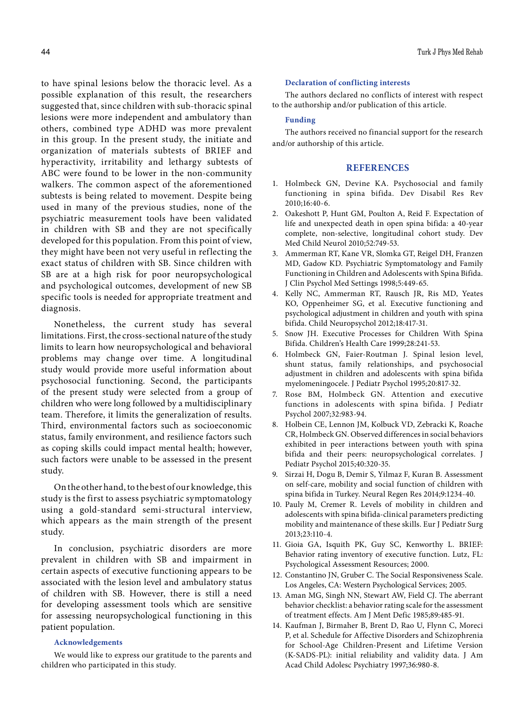to have spinal lesions below the thoracic level. As a possible explanation of this result, the researchers suggested that, since children with sub-thoracic spinal lesions were more independent and ambulatory than others, combined type ADHD was more prevalent in this group. In the present study, the initiate and organization of materials subtests of BRIEF and hyperactivity, irritability and lethargy subtests of ABC were found to be lower in the non-community walkers. The common aspect of the aforementioned subtests is being related to movement. Despite being used in many of the previous studies, none of the psychiatric measurement tools have been validated in children with SB and they are not specifically developed for this population. From this point of view, they might have been not very useful in reflecting the exact status of children with SB. Since children with SB are at a high risk for poor neuropsychological and psychological outcomes, development of new SB specific tools is needed for appropriate treatment and diagnosis.

Nonetheless, the current study has several limitations. First, the cross-sectional nature of the study limits to learn how neuropsychological and behavioral problems may change over time. A longitudinal study would provide more useful information about psychosocial functioning. Second, the participants of the present study were selected from a group of children who were long followed by a multidisciplinary team. Therefore, it limits the generalization of results. Third, environmental factors such as socioeconomic status, family environment, and resilience factors such as coping skills could impact mental health; however, such factors were unable to be assessed in the present study.

On the other hand, to the best of our knowledge, this study is the first to assess psychiatric symptomatology using a gold-standard semi-structural interview, which appears as the main strength of the present study.

In conclusion, psychiatric disorders are more prevalent in children with SB and impairment in certain aspects of executive functioning appears to be associated with the lesion level and ambulatory status of children with SB. However, there is still a need for developing assessment tools which are sensitive for assessing neuropsychological functioning in this patient population.

#### **Acknowledgements**

We would like to express our gratitude to the parents and children who participated in this study.

#### **Declaration of conflicting interests**

The authors declared no conflicts of interest with respect to the authorship and/or publication of this article.

#### **Funding**

The authors received no financial support for the research and/or authorship of this article.

#### **REFERENCES**

- 1. Holmbeck GN, Devine KA. Psychosocial and family functioning in spina bifida. Dev Disabil Res Rev 2010;16:40-6.
- 2. Oakeshott P, Hunt GM, Poulton A, Reid F. Expectation of life and unexpected death in open spina bifida: a 40-year complete, non-selective, longitudinal cohort study. Dev Med Child Neurol 2010;52:749-53.
- 3. Ammerman RT, Kane VR, Slomka GT, Reigel DH, Franzen MD, Gadow KD. Psychiatric Symptomatology and Family Functioning in Children and Adolescents with Spina Bifida. J Clin Psychol Med Settings 1998;5:449-65.
- 4. Kelly NC, Ammerman RT, Rausch JR, Ris MD, Yeates KO, Oppenheimer SG, et al. Executive functioning and psychological adjustment in children and youth with spina bifida. Child Neuropsychol 2012;18:417-31.
- 5. Snow JH. Executive Processes for Children With Spina Bifida. Children's Health Care 1999;28:241-53.
- 6. Holmbeck GN, Faier-Routman J. Spinal lesion level, shunt status, family relationships, and psychosocial adjustment in children and adolescents with spina bifida myelomeningocele. J Pediatr Psychol 1995;20:817-32.
- 7. Rose BM, Holmbeck GN. Attention and executive functions in adolescents with spina bifida. J Pediatr Psychol 2007;32:983-94.
- 8. Holbein CE, Lennon JM, Kolbuck VD, Zebracki K, Roache CR, Holmbeck GN. Observed differences in social behaviors exhibited in peer interactions between youth with spina bifida and their peers: neuropsychological correlates. J Pediatr Psychol 2015;40:320-35.
- 9. Sirzai H, Dogu B, Demir S, Yilmaz F, Kuran B. Assessment on self-care, mobility and social function of children with spina bifida in Turkey. Neural Regen Res 2014;9:1234-40.
- 10. Pauly M, Cremer R. Levels of mobility in children and adolescents with spina bifida-clinical parameters predicting mobility and maintenance of these skills. Eur J Pediatr Surg 2013;23:110-4.
- 11. Gioia GA, Isquith PK, Guy SC, Kenworthy L. BRIEF: Behavior rating inventory of executive function. Lutz, FL: Psychological Assessment Resources; 2000.
- 12. Constantino JN, Gruber C. The Social Responsiveness Scale. Los Angeles, CA: Western Psychological Services; 2005.
- 13. Aman MG, Singh NN, Stewart AW, Field CJ. The aberrant behavior checklist: a behavior rating scale for the assessment of treatment effects. Am J Ment Defic 1985;89:485-91.
- 14. Kaufman J, Birmaher B, Brent D, Rao U, Flynn C, Moreci P, et al. Schedule for Affective Disorders and Schizophrenia for School-Age Children-Present and Lifetime Version (K-SADS-PL): initial reliability and validity data. J Am Acad Child Adolesc Psychiatry 1997;36:980-8.